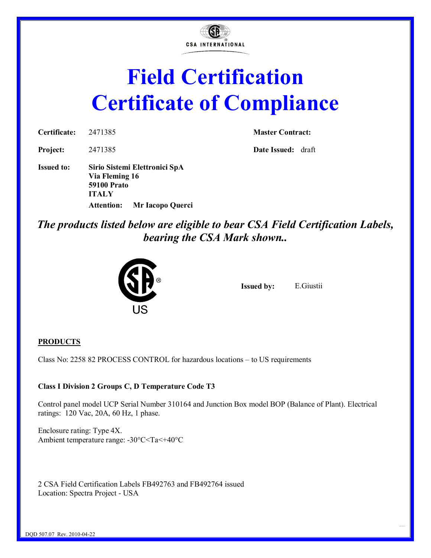

# Field Certification Certificate of Compliance

Certificate: 2471385 Master Contract:

Project: 2471385 Date Issued: draft

Issued to: Sirio Sistemi Elettronici SpA Via Fleming 16 59100 Prato **ITALY** Attention: Mr Iacopo Querci

## *The products listed below are eligible to bear CSA Field Certification Labels, bearing the CSA Mark shown..*



Issued by: E.Giustii

#### **PRODUCTS**

Class No: 2258 82 PROCESS CONTROL for hazardous locations – to US requirements

#### Class I Division 2 Groups C, D Temperature Code T3

Control panel model UCP Serial Number 310164 and Junction Box model BOP (Balance of Plant). Electrical ratings: 120 Vac, 20A, 60 Hz, 1 phase.

Enclosure rating: Type 4X. Ambient temperature range: -30°C<Ta<+40°C

2 CSA Field Certification Labels FB492763 and FB492764 issued Location: Spectra Project - USA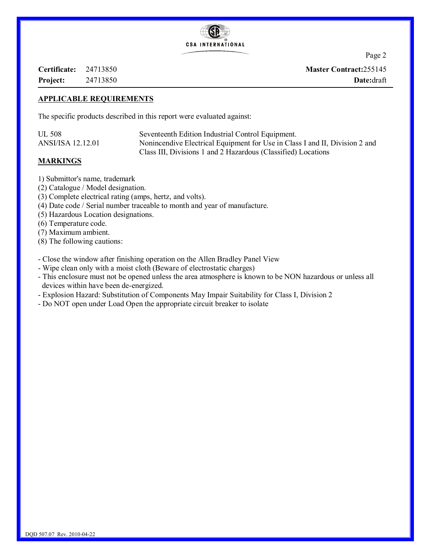

Page 2

Certificate: 24713850 Project: 24713850 Master Contract:255145

Date:draft

#### APPLICABLE REQUIREMENTS

The specific products described in this report were evaluated against:

| UL 508            | Seventeenth Edition Industrial Control Equipment.                           |
|-------------------|-----------------------------------------------------------------------------|
| ANSI/ISA 12.12.01 | Nonincendive Electrical Equipment for Use in Class I and II, Division 2 and |
|                   | Class III, Divisions 1 and 2 Hazardous (Classified) Locations               |

#### **MARKINGS**

- 1) Submittor's name, trademark
- (2) Catalogue / Model designation.
- (3) Complete electrical rating (amps, hertz, and volts).
- (4) Date code / Serial number traceable to month and year of manufacture.
- (5) Hazardous Location designations.

(6) Temperature code.

(7) Maximum ambient.

(8) The following cautions:

- Close the window after finishing operation on the Allen Bradley Panel View

- Wipe clean only with a moist cloth (Beware of electrostatic charges)
- This enclosure must not be opened unless the area atmosphere is known to be NON hazardous or unless all devices within have been de-energized.
- Explosion Hazard: Substitution of Components May Impair Suitability for Class I, Division 2
- Do NOT open under Load Open the appropriate circuit breaker to isolate